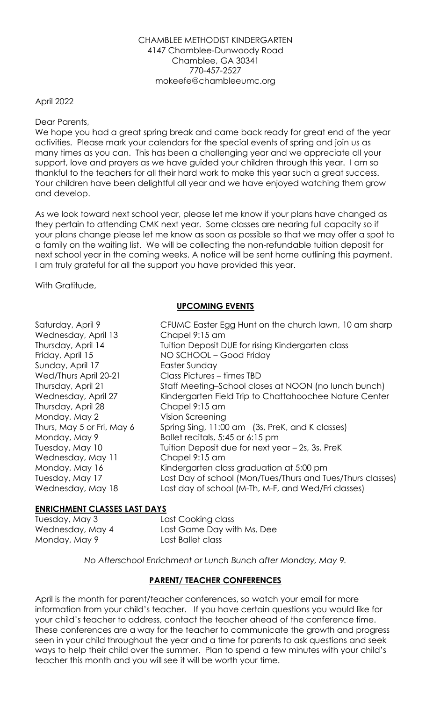#### CHAMBLEE METHODIST KINDERGARTEN 4147 Chamblee-Dunwoody Road Chamblee, GA 30341 770-457-2527 mokeefe@chambleeumc.org

### April 2022

Dear Parents,

We hope you had a great spring break and came back ready for great end of the year activities. Please mark your calendars for the special events of spring and join us as many times as you can. This has been a challenging year and we appreciate all your support, love and prayers as we have guided your children through this year. I am so thankful to the teachers for all their hard work to make this year such a great success. Your children have been delightful all year and we have enjoyed watching them grow and develop.

As we look toward next school year, please let me know if your plans have changed as they pertain to attending CMK next year. Some classes are nearing full capacity so if your plans change please let me know as soon as possible so that we may offer a spot to a family on the waiting list. We will be collecting the non-refundable tuition deposit for next school year in the coming weeks. A notice will be sent home outlining this payment. I am truly grateful for all the support you have provided this year.

With Gratitude,

# **UPCOMING EVENTS**

| Wednesday, April 13<br>Chapel 9:15 am<br>Thursday, April 14<br>Tuition Deposit DUE for rising Kindergarten class<br>NO SCHOOL - Good Friday<br>Friday, April 15<br>Sunday, April 17<br>Easter Sunday<br>Class Pictures - times TBD<br>Wed/Thurs April 20-21<br>Thursday, April 21<br>Staff Meeting–School closes at NOON (no lunch bunch)<br>Wednesday, April 27<br>Kindergarten Field Trip to Chattahoochee Nature Center<br>Thursday, April 28<br>Chapel 9:15 am<br>Monday, May 2<br>Vision Screening<br>Thurs, May 5 or Fri, May 6<br>Spring Sing, 11:00 am (3s, PreK, and K classes)<br>Ballet recitals, 5:45 or 6:15 pm<br>Monday, May 9<br>Tuition Deposit due for next year - 2s, 3s, PreK<br>Tuesday, May 10<br>Wednesday, May 11<br>Chapel 9:15 am<br>Monday, May 16<br>Kindergarten class graduation at 5:00 pm<br>Last Day of school (Mon/Tues/Thurs and Tues/Thurs classes)<br>Tuesday, May 17<br>Last day of school (M-Th, M-F, and Wed/Fri classes)<br>Wednesday, May 18 |
|----------------------------------------------------------------------------------------------------------------------------------------------------------------------------------------------------------------------------------------------------------------------------------------------------------------------------------------------------------------------------------------------------------------------------------------------------------------------------------------------------------------------------------------------------------------------------------------------------------------------------------------------------------------------------------------------------------------------------------------------------------------------------------------------------------------------------------------------------------------------------------------------------------------------------------------------------------------------------------------|
|----------------------------------------------------------------------------------------------------------------------------------------------------------------------------------------------------------------------------------------------------------------------------------------------------------------------------------------------------------------------------------------------------------------------------------------------------------------------------------------------------------------------------------------------------------------------------------------------------------------------------------------------------------------------------------------------------------------------------------------------------------------------------------------------------------------------------------------------------------------------------------------------------------------------------------------------------------------------------------------|

#### **ENRICHMENT CLASSES LAST DAYS**

Monday, May 9 Last Ballet class

Tuesday, May 3 Last Cooking class Wednesday, May 4 Last Game Day with Ms. Dee

*No Afterschool Enrichment or Lunch Bunch after Monday, May 9.* 

# **PARENT/ TEACHER CONFERENCES**

April is the month for parent/teacher conferences, so watch your email for more information from your child's teacher. If you have certain questions you would like for your child's teacher to address, contact the teacher ahead of the conference time. These conferences are a way for the teacher to communicate the growth and progress seen in your child throughout the year and a time for parents to ask questions and seek ways to help their child over the summer. Plan to spend a few minutes with your child's teacher this month and you will see it will be worth your time.